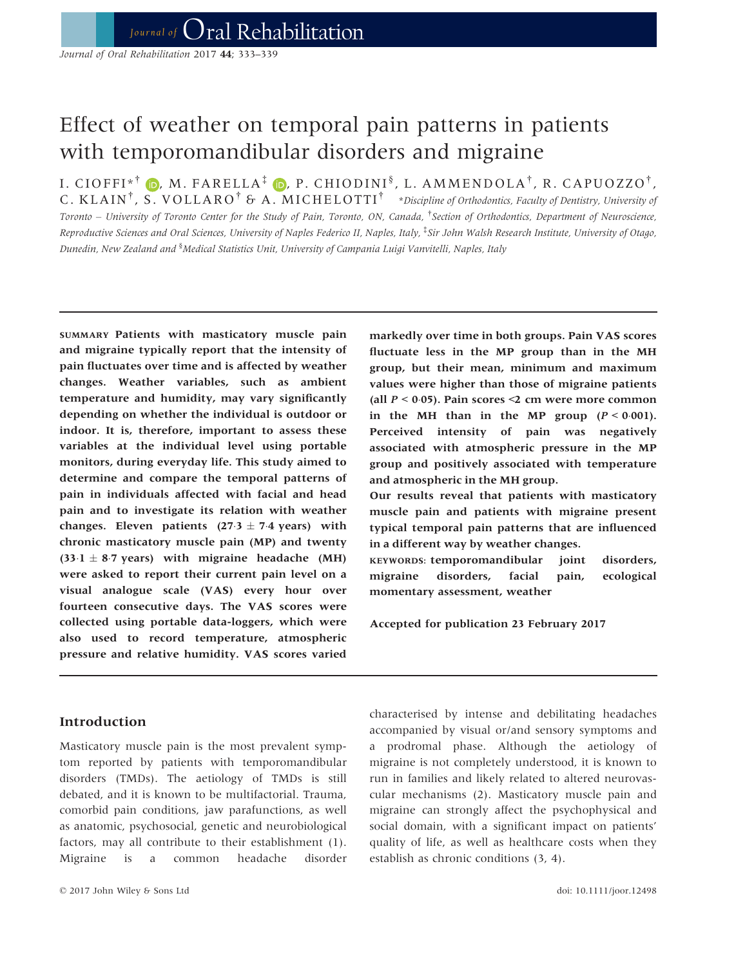# Effect of weather on temporal pain patterns in patients with temporomandibular disorders and migraine

I. CIOFFI\*<sup>†</sup> (D, M. FARELLA<sup>‡</sup> (D, P. CHIODINI<sup>§</sup>, L. AMMENDOLA<sup>†</sup>, R. CAPUOZZO<sup>†</sup>, C. KLAIN<sup>†</sup>, S. VOLLARO<sup>†</sup> & A. MICHELOTTI<sup>†</sup> \*Discipline of Orthodontics, Faculty of Dentistry, University of Toronto – University of Toronto Center for the Study of Pain, Toronto, ON, Canada, † Section of Orthodontics, Department of Neuroscience, Reproductive Sciences and Oral Sciences, University of Naples Federico II, Naples, Italy, <sup>‡</sup>Sir John Walsh Research Institute, University of Otago, Dunedin, New Zealand and <sup>§</sup>Medical Statistics Unit, University of Campania Luigi Vanvitelli, Naples, Italy

SUMMARY Patients with masticatory muscle pain and migraine typically report that the intensity of pain fluctuates over time and is affected by weather changes. Weather variables, such as ambient temperature and humidity, may vary significantly depending on whether the individual is outdoor or indoor. It is, therefore, important to assess these variables at the individual level using portable monitors, during everyday life. This study aimed to determine and compare the temporal patterns of pain in individuals affected with facial and head pain and to investigate its relation with weather changes. Eleven patients  $(27.3 \pm 7.4 \text{ years})$  with chronic masticatory muscle pain (MP) and twenty  $(33.1 \pm 8.7 \text{ years})$  with migraine headache (MH) were asked to report their current pain level on a visual analogue scale (VAS) every hour over fourteen consecutive days. The VAS scores were collected using portable data-loggers, which were also used to record temperature, atmospheric pressure and relative humidity. VAS scores varied

## Introduction

Masticatory muscle pain is the most prevalent symptom reported by patients with temporomandibular disorders (TMDs). The aetiology of TMDs is still debated, and it is known to be multifactorial. Trauma, comorbid pain conditions, jaw parafunctions, as well as anatomic, psychosocial, genetic and neurobiological factors, may all contribute to their establishment (1). Migraine is a common headache disorder markedly over time in both groups. Pain VAS scores fluctuate less in the MP group than in the MH group, but their mean, minimum and maximum values were higher than those of migraine patients (all  $P < 0.05$ ). Pain scores <2 cm were more common in the MH than in the MP group  $(P < 0.001)$ . Perceived intensity of pain was negatively associated with atmospheric pressure in the MP group and positively associated with temperature and atmospheric in the MH group.

Our results reveal that patients with masticatory muscle pain and patients with migraine present typical temporal pain patterns that are influenced in a different way by weather changes.

KEYWORDS: temporomandibular joint disorders, migraine disorders, facial pain, ecological momentary assessment, weather

Accepted for publication 23 February 2017

characterised by intense and debilitating headaches accompanied by visual or/and sensory symptoms and a prodromal phase. Although the aetiology of migraine is not completely understood, it is known to run in families and likely related to altered neurovascular mechanisms (2). Masticatory muscle pain and migraine can strongly affect the psychophysical and social domain, with a significant impact on patients' quality of life, as well as healthcare costs when they establish as chronic conditions (3, 4).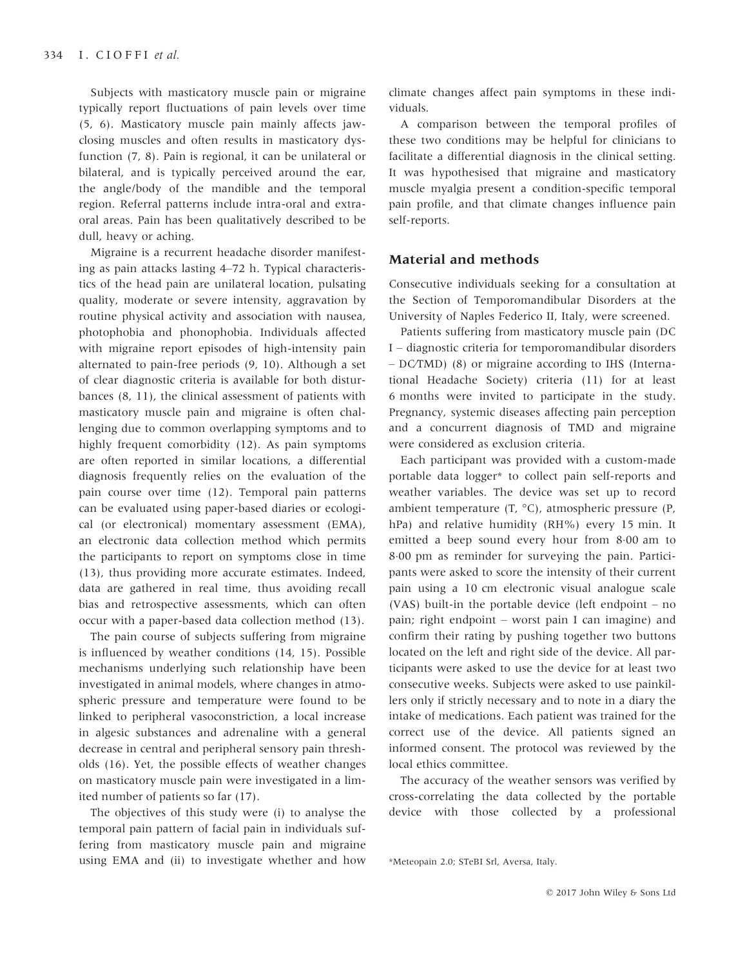Subjects with masticatory muscle pain or migraine typically report fluctuations of pain levels over time (5, 6). Masticatory muscle pain mainly affects jawclosing muscles and often results in masticatory dysfunction (7, 8). Pain is regional, it can be unilateral or bilateral, and is typically perceived around the ear, the angle/body of the mandible and the temporal region. Referral patterns include intra-oral and extraoral areas. Pain has been qualitatively described to be dull, heavy or aching.

Migraine is a recurrent headache disorder manifesting as pain attacks lasting 4–72 h. Typical characteristics of the head pain are unilateral location, pulsating quality, moderate or severe intensity, aggravation by routine physical activity and association with nausea, photophobia and phonophobia. Individuals affected with migraine report episodes of high-intensity pain alternated to pain-free periods (9, 10). Although a set of clear diagnostic criteria is available for both disturbances (8, 11), the clinical assessment of patients with masticatory muscle pain and migraine is often challenging due to common overlapping symptoms and to highly frequent comorbidity (12). As pain symptoms are often reported in similar locations, a differential diagnosis frequently relies on the evaluation of the pain course over time (12). Temporal pain patterns can be evaluated using paper-based diaries or ecological (or electronical) momentary assessment (EMA), an electronic data collection method which permits the participants to report on symptoms close in time (13), thus providing more accurate estimates. Indeed, data are gathered in real time, thus avoiding recall bias and retrospective assessments, which can often occur with a paper-based data collection method (13).

The pain course of subjects suffering from migraine is influenced by weather conditions (14, 15). Possible mechanisms underlying such relationship have been investigated in animal models, where changes in atmospheric pressure and temperature were found to be linked to peripheral vasoconstriction, a local increase in algesic substances and adrenaline with a general decrease in central and peripheral sensory pain thresholds (16). Yet, the possible effects of weather changes on masticatory muscle pain were investigated in a limited number of patients so far (17).

The objectives of this study were (i) to analyse the temporal pain pattern of facial pain in individuals suffering from masticatory muscle pain and migraine using EMA and (ii) to investigate whether and how climate changes affect pain symptoms in these individuals.

A comparison between the temporal profiles of these two conditions may be helpful for clinicians to facilitate a differential diagnosis in the clinical setting. It was hypothesised that migraine and masticatory muscle myalgia present a condition-specific temporal pain profile, and that climate changes influence pain self-reports.

## Material and methods

Consecutive individuals seeking for a consultation at the Section of Temporomandibular Disorders at the University of Naples Federico II, Italy, were screened.

Patients suffering from masticatory muscle pain (DC I – diagnostic criteria for temporomandibular disorders – DC⁄TMD) (8) or migraine according to IHS (International Headache Society) criteria (11) for at least 6 months were invited to participate in the study. Pregnancy, systemic diseases affecting pain perception and a concurrent diagnosis of TMD and migraine were considered as exclusion criteria.

Each participant was provided with a custom-made portable data logger\* to collect pain self-reports and weather variables. The device was set up to record ambient temperature (T, °C), atmospheric pressure (P, hPa) and relative humidity (RH%) every 15 min. It emitted a beep sound every hour from 8.00 am to 800 pm as reminder for surveying the pain. Participants were asked to score the intensity of their current pain using a 10 cm electronic visual analogue scale (VAS) built-in the portable device (left endpoint – no pain; right endpoint – worst pain I can imagine) and confirm their rating by pushing together two buttons located on the left and right side of the device. All participants were asked to use the device for at least two consecutive weeks. Subjects were asked to use painkillers only if strictly necessary and to note in a diary the intake of medications. Each patient was trained for the correct use of the device. All patients signed an informed consent. The protocol was reviewed by the local ethics committee.

The accuracy of the weather sensors was verified by cross-correlating the data collected by the portable device with those collected by a professional

<sup>\*</sup>Meteopain 2.0; STeBI Srl, Aversa, Italy.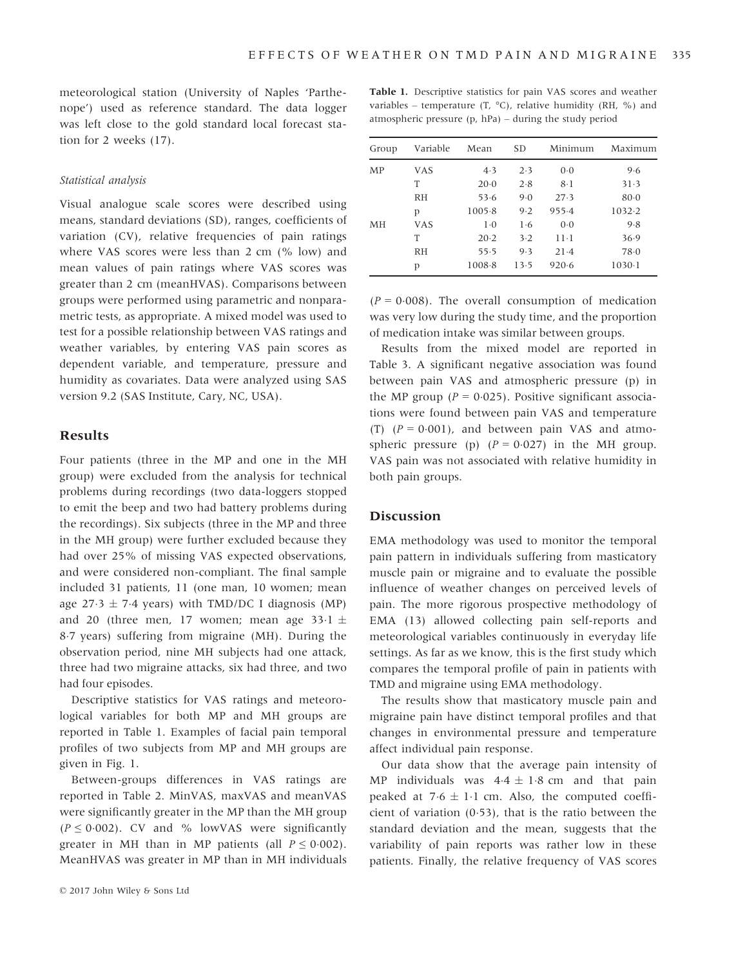meteorological station (University of Naples 'Parthenope') used as reference standard. The data logger was left close to the gold standard local forecast station for 2 weeks (17).

#### Statistical analysis

Visual analogue scale scores were described using means, standard deviations (SD), ranges, coefficients of variation (CV), relative frequencies of pain ratings where VAS scores were less than 2 cm (% low) and mean values of pain ratings where VAS scores was greater than 2 cm (meanHVAS). Comparisons between groups were performed using parametric and nonparametric tests, as appropriate. A mixed model was used to test for a possible relationship between VAS ratings and weather variables, by entering VAS pain scores as dependent variable, and temperature, pressure and humidity as covariates. Data were analyzed using SAS version 9.2 (SAS Institute, Cary, NC, USA).

#### Results

Four patients (three in the MP and one in the MH group) were excluded from the analysis for technical problems during recordings (two data-loggers stopped to emit the beep and two had battery problems during the recordings). Six subjects (three in the MP and three in the MH group) were further excluded because they had over 25% of missing VAS expected observations, and were considered non-compliant. The final sample included 31 patients, 11 (one man, 10 women; mean age  $27.3 \pm 7.4$  years) with TMD/DC I diagnosis (MP) and 20 (three men, 17 women; mean age  $33.1 \pm$ 87 years) suffering from migraine (MH). During the observation period, nine MH subjects had one attack, three had two migraine attacks, six had three, and two had four episodes.

Descriptive statistics for VAS ratings and meteorological variables for both MP and MH groups are reported in Table 1. Examples of facial pain temporal profiles of two subjects from MP and MH groups are given in Fig. 1.

Between-groups differences in VAS ratings are reported in Table 2. MinVAS, maxVAS and meanVAS were significantly greater in the MP than the MH group  $(P \le 0.002)$ . CV and % lowVAS were significantly greater in MH than in MP patients (all  $P \le 0.002$ ). MeanHVAS was greater in MP than in MH individuals

Table 1. Descriptive statistics for pain VAS scores and weather variables – temperature (T,  $^{\circ}$ C), relative humidity (RH, %) and atmospheric pressure (p, hPa) – during the study period

| Group | Variable | Mean   | <b>SD</b> | Minimum | Maximum  |
|-------|----------|--------|-----------|---------|----------|
| MP    | VAS      | 4.3    | 2.3       | 0.0     | 9.6      |
|       | T        | $20-0$ | 2.8       | $8-1$   | 31.3     |
|       | RH       | 53.6   | 9.0       | 27.3    | $80 - 0$ |
|       | р        | 1005.8 | 9.2       | 955.4   | 1032.2   |
| MН    | VAS      | $1-0$  | 1·6       | 0.0     | 9.8      |
|       | Τ        | 20.2   | $3-2$     | $11-1$  | 36.9     |
|       | RH       | 55.5   | 9.3       | $21-4$  | 78.0     |
|       | р        | 1008.8 | 13.5      | 920.6   | $1030-1$ |

 $(P = 0.008)$ . The overall consumption of medication was very low during the study time, and the proportion of medication intake was similar between groups.

Results from the mixed model are reported in Table 3. A significant negative association was found between pain VAS and atmospheric pressure (p) in the MP group ( $P = 0.025$ ). Positive significant associations were found between pain VAS and temperature (T)  $(P = 0.001)$ , and between pain VAS and atmospheric pressure (p)  $(P = 0.027)$  in the MH group. VAS pain was not associated with relative humidity in both pain groups.

### Discussion

EMA methodology was used to monitor the temporal pain pattern in individuals suffering from masticatory muscle pain or migraine and to evaluate the possible influence of weather changes on perceived levels of pain. The more rigorous prospective methodology of EMA (13) allowed collecting pain self-reports and meteorological variables continuously in everyday life settings. As far as we know, this is the first study which compares the temporal profile of pain in patients with TMD and migraine using EMA methodology.

The results show that masticatory muscle pain and migraine pain have distinct temporal profiles and that changes in environmental pressure and temperature affect individual pain response.

Our data show that the average pain intensity of MP individuals was  $4.4 \pm 1.8$  cm and that pain peaked at  $7.6 \pm 1.1$  cm. Also, the computed coefficient of variation  $(0.53)$ , that is the ratio between the standard deviation and the mean, suggests that the variability of pain reports was rather low in these patients. Finally, the relative frequency of VAS scores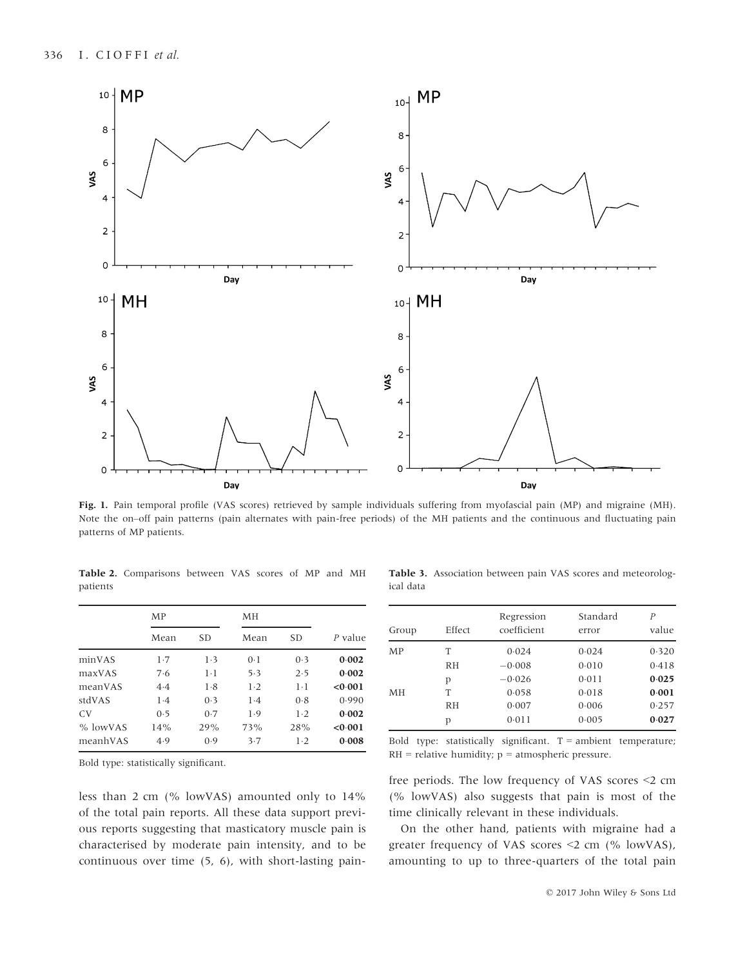

Fig. 1. Pain temporal profile (VAS scores) retrieved by sample individuals suffering from myofascial pain (MP) and migraine (MH). Note the on–off pain patterns (pain alternates with pain-free periods) of the MH patients and the continuous and fluctuating pain patterns of MP patients.

Table 2. Comparisons between VAS scores of MP and MH patients

|                | MP   |           | MН    |           |         |
|----------------|------|-----------|-------|-----------|---------|
|                | Mean | <b>SD</b> | Mean  | <b>SD</b> | P value |
| minVAS         | 1.7  | 1.3       | 0.1   | 0.3       | 0.002   |
| maxVAS         | 7.6  | $1-1$     | 5.3   | 2.5       | 0.002   |
| meanVAS        | 4.4  | 1.8       | $1-2$ | $1-1$     | < 0.001 |
| stdVAS         | 1.4  | (0.3)     | 1.4   | 0.8       | 0.990   |
| C <sub>V</sub> | 0.5  | 0.7       | 1.9   | $1-2$     | 0.002   |
| % lowVAS       | 14%  | 29%       | 73%   | 28%       | < 0.001 |
| meanhVAS       | 4.9  | (0.9)     | 3.7   | $1-2$     | 0.008   |

continuous over time (5, 6), with short-lasting pain-

Table 3. Association between pain VAS scores and meteorological data

| Group | Effect    | Regression<br>coefficient | Standard<br>error | P<br>value |
|-------|-----------|---------------------------|-------------------|------------|
| MP    | Τ         | 0.024                     | 0.024             | 0.320      |
|       | RH        | $-0.008$                  | 0.010             | 0.418      |
| MH    | р         | $-0.026$                  | 0.011             | 0.025      |
|       | T         | 0.058                     | 0.018             | 0.001      |
|       | <b>RH</b> | 0.007                     | 0.006             | 0.257      |
|       | р         | 0.011                     | 0.005             | 0.027      |

Bold type: statistically significant.

free periods. The low frequency of VAS scores <2 cm (% lowVAS) also suggests that pain is most of the

Bold type: statistically significant.  $T =$  ambient temperature;

 $RH =$  relative humidity;  $p =$  atmospheric pressure.

On the other hand, patients with migraine had a greater frequency of VAS scores <2 cm (% lowVAS), amounting to up to three-quarters of the total pain

less than 2 cm (% lowVAS) amounted only to 14% of the total pain reports. All these data support previous reports suggesting that masticatory muscle pain is characterised by moderate pain intensity, and to be time clinically relevant in these individuals.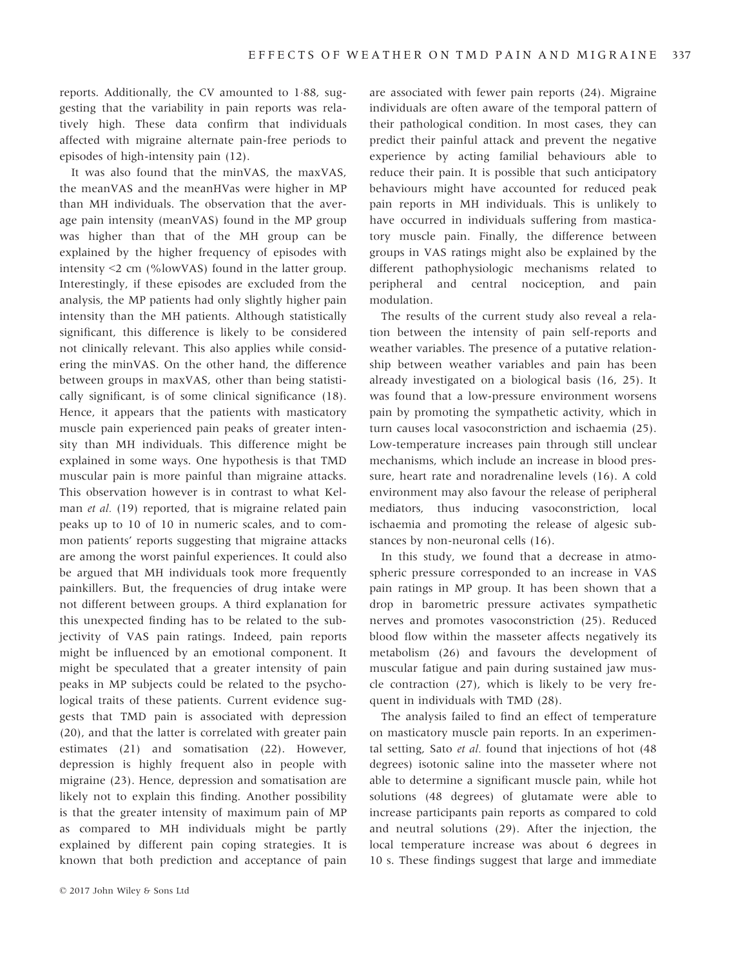reports. Additionally, the CV amounted to  $1.88$ , suggesting that the variability in pain reports was relatively high. These data confirm that individuals affected with migraine alternate pain-free periods to episodes of high-intensity pain (12).

It was also found that the minVAS, the maxVAS, the meanVAS and the meanHVas were higher in MP than MH individuals. The observation that the average pain intensity (meanVAS) found in the MP group was higher than that of the MH group can be explained by the higher frequency of episodes with intensity <2 cm (%lowVAS) found in the latter group. Interestingly, if these episodes are excluded from the analysis, the MP patients had only slightly higher pain intensity than the MH patients. Although statistically significant, this difference is likely to be considered not clinically relevant. This also applies while considering the minVAS. On the other hand, the difference between groups in maxVAS, other than being statistically significant, is of some clinical significance (18). Hence, it appears that the patients with masticatory muscle pain experienced pain peaks of greater intensity than MH individuals. This difference might be explained in some ways. One hypothesis is that TMD muscular pain is more painful than migraine attacks. This observation however is in contrast to what Kelman et al. (19) reported, that is migraine related pain peaks up to 10 of 10 in numeric scales, and to common patients' reports suggesting that migraine attacks are among the worst painful experiences. It could also be argued that MH individuals took more frequently painkillers. But, the frequencies of drug intake were not different between groups. A third explanation for this unexpected finding has to be related to the subjectivity of VAS pain ratings. Indeed, pain reports might be influenced by an emotional component. It might be speculated that a greater intensity of pain peaks in MP subjects could be related to the psychological traits of these patients. Current evidence suggests that TMD pain is associated with depression (20), and that the latter is correlated with greater pain estimates (21) and somatisation (22). However, depression is highly frequent also in people with migraine (23). Hence, depression and somatisation are likely not to explain this finding. Another possibility is that the greater intensity of maximum pain of MP as compared to MH individuals might be partly explained by different pain coping strategies. It is known that both prediction and acceptance of pain

are associated with fewer pain reports (24). Migraine individuals are often aware of the temporal pattern of their pathological condition. In most cases, they can predict their painful attack and prevent the negative experience by acting familial behaviours able to reduce their pain. It is possible that such anticipatory behaviours might have accounted for reduced peak pain reports in MH individuals. This is unlikely to have occurred in individuals suffering from masticatory muscle pain. Finally, the difference between groups in VAS ratings might also be explained by the different pathophysiologic mechanisms related to peripheral and central nociception, and pain modulation.

The results of the current study also reveal a relation between the intensity of pain self-reports and weather variables. The presence of a putative relationship between weather variables and pain has been already investigated on a biological basis (16, 25). It was found that a low-pressure environment worsens pain by promoting the sympathetic activity, which in turn causes local vasoconstriction and ischaemia (25). Low-temperature increases pain through still unclear mechanisms, which include an increase in blood pressure, heart rate and noradrenaline levels (16). A cold environment may also favour the release of peripheral mediators, thus inducing vasoconstriction, local ischaemia and promoting the release of algesic substances by non-neuronal cells (16).

In this study, we found that a decrease in atmospheric pressure corresponded to an increase in VAS pain ratings in MP group. It has been shown that a drop in barometric pressure activates sympathetic nerves and promotes vasoconstriction (25). Reduced blood flow within the masseter affects negatively its metabolism (26) and favours the development of muscular fatigue and pain during sustained jaw muscle contraction (27), which is likely to be very frequent in individuals with TMD (28).

The analysis failed to find an effect of temperature on masticatory muscle pain reports. In an experimental setting, Sato et al. found that injections of hot (48 degrees) isotonic saline into the masseter where not able to determine a significant muscle pain, while hot solutions (48 degrees) of glutamate were able to increase participants pain reports as compared to cold and neutral solutions (29). After the injection, the local temperature increase was about 6 degrees in 10 s. These findings suggest that large and immediate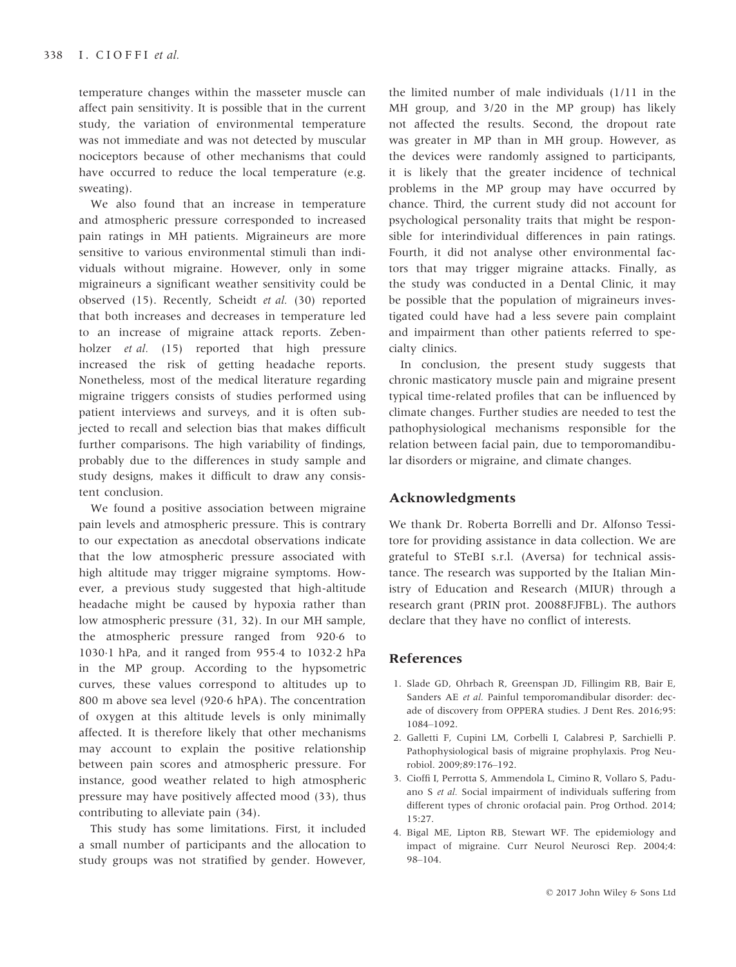temperature changes within the masseter muscle can affect pain sensitivity. It is possible that in the current study, the variation of environmental temperature was not immediate and was not detected by muscular nociceptors because of other mechanisms that could have occurred to reduce the local temperature (e.g. sweating).

We also found that an increase in temperature and atmospheric pressure corresponded to increased pain ratings in MH patients. Migraineurs are more sensitive to various environmental stimuli than individuals without migraine. However, only in some migraineurs a significant weather sensitivity could be observed (15). Recently, Scheidt et al. (30) reported that both increases and decreases in temperature led to an increase of migraine attack reports. Zebenholzer *et al.* (15) reported that high pressure increased the risk of getting headache reports. Nonetheless, most of the medical literature regarding migraine triggers consists of studies performed using patient interviews and surveys, and it is often subjected to recall and selection bias that makes difficult further comparisons. The high variability of findings, probably due to the differences in study sample and study designs, makes it difficult to draw any consistent conclusion.

We found a positive association between migraine pain levels and atmospheric pressure. This is contrary to our expectation as anecdotal observations indicate that the low atmospheric pressure associated with high altitude may trigger migraine symptoms. However, a previous study suggested that high-altitude headache might be caused by hypoxia rather than low atmospheric pressure (31, 32). In our MH sample, the atmospheric pressure ranged from 920.6 to 10301 hPa, and it ranged from 9554 to 10322 hPa in the MP group. According to the hypsometric curves, these values correspond to altitudes up to 800 m above sea level (9206 hPA). The concentration of oxygen at this altitude levels is only minimally affected. It is therefore likely that other mechanisms may account to explain the positive relationship between pain scores and atmospheric pressure. For instance, good weather related to high atmospheric pressure may have positively affected mood (33), thus contributing to alleviate pain (34).

This study has some limitations. First, it included a small number of participants and the allocation to study groups was not stratified by gender. However, the limited number of male individuals (1/11 in the MH group, and 3/20 in the MP group) has likely not affected the results. Second, the dropout rate was greater in MP than in MH group. However, as the devices were randomly assigned to participants, it is likely that the greater incidence of technical problems in the MP group may have occurred by chance. Third, the current study did not account for psychological personality traits that might be responsible for interindividual differences in pain ratings. Fourth, it did not analyse other environmental factors that may trigger migraine attacks. Finally, as the study was conducted in a Dental Clinic, it may be possible that the population of migraineurs investigated could have had a less severe pain complaint and impairment than other patients referred to specialty clinics.

In conclusion, the present study suggests that chronic masticatory muscle pain and migraine present typical time-related profiles that can be influenced by climate changes. Further studies are needed to test the pathophysiological mechanisms responsible for the relation between facial pain, due to temporomandibular disorders or migraine, and climate changes.

### Acknowledgments

We thank Dr. Roberta Borrelli and Dr. Alfonso Tessitore for providing assistance in data collection. We are grateful to STeBI s.r.l. (Aversa) for technical assistance. The research was supported by the Italian Ministry of Education and Research (MIUR) through a research grant (PRIN prot. 20088FJFBL). The authors declare that they have no conflict of interests.

### References

- 1. Slade GD, Ohrbach R, Greenspan JD, Fillingim RB, Bair E, Sanders AE et al. Painful temporomandibular disorder: decade of discovery from OPPERA studies. J Dent Res. 2016;95: 1084–1092.
- 2. Galletti F, Cupini LM, Corbelli I, Calabresi P, Sarchielli P. Pathophysiological basis of migraine prophylaxis. Prog Neurobiol. 2009;89:176–192.
- 3. Cioffi I, Perrotta S, Ammendola L, Cimino R, Vollaro S, Paduano S et al. Social impairment of individuals suffering from different types of chronic orofacial pain. Prog Orthod. 2014; 15:27.
- 4. Bigal ME, Lipton RB, Stewart WF. The epidemiology and impact of migraine. Curr Neurol Neurosci Rep. 2004;4: 98–104.